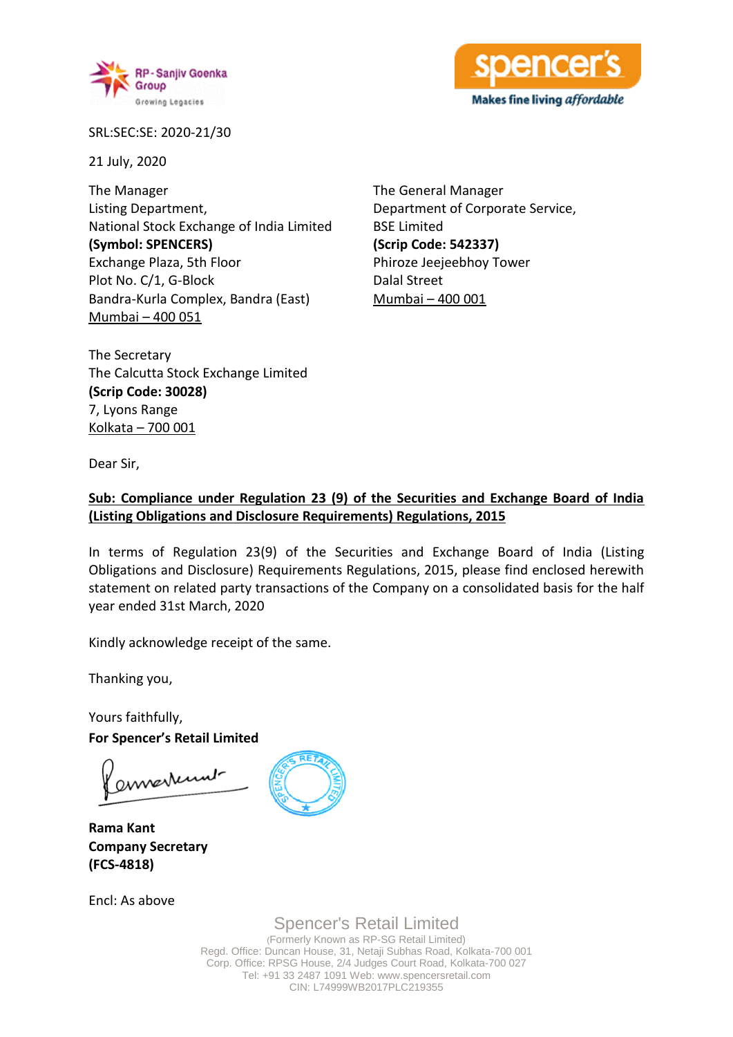



SRL:SEC:SE: 2020-21/30

21 July, 2020

The Manager Listing Department, National Stock Exchange of India Limited **(Symbol: SPENCERS)** Exchange Plaza, 5th Floor Plot No. C/1, G-Block Bandra-Kurla Complex, Bandra (East) Mumbai – 400 051

The General Manager Department of Corporate Service, BSE Limited **(Scrip Code: 542337)** Phiroze Jeejeebhoy Tower Dalal Street Mumbai – 400 001

The Secretary The Calcutta Stock Exchange Limited **(Scrip Code: 30028)** 7, Lyons Range Kolkata – 700 001

Dear Sir,

## **Sub: Compliance under Regulation 23 (9) of the Securities and Exchange Board of India (Listing Obligations and Disclosure Requirements) Regulations, 2015**

In terms of Regulation 23(9) of the Securities and Exchange Board of India (Listing Obligations and Disclosure) Requirements Regulations, 2015, please find enclosed herewith statement on related party transactions of the Company on a consolidated basis for the half year ended 31st March, 2020

Kindly acknowledge receipt of the same.

Thanking you,

Yours faithfully, **For Spencer's Retail Limited**

annexument

**Rama Kant Company Secretary (FCS-4818)**

Encl: As above



Spencer's Retail Limited (Formerly Known as RP-SG Retail Limited)

Regd. Office: Duncan House, 31, Netaji Subhas Road, Kolkata-700 001 Corp. Office: RPSG House, 2/4 Judges Court Road, Kolkata-700 027 Tel: +91 33 2487 1091 Web: www.spencersretail.com CIN: L74999WB2017PLC219355